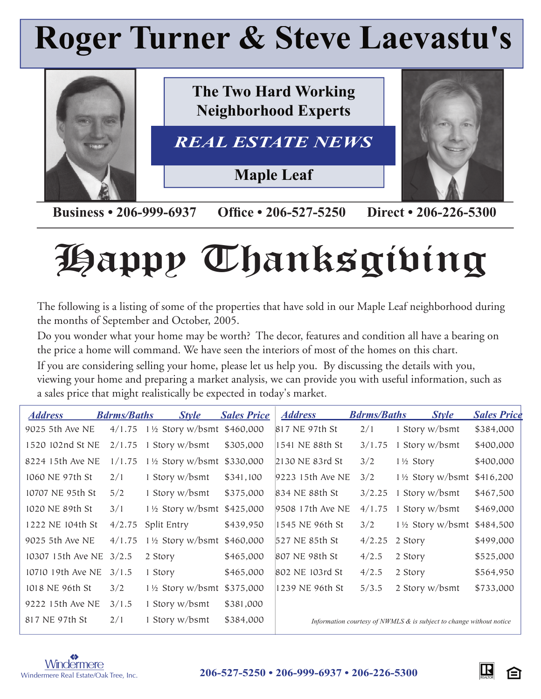# **Roger Turner & Steve Laevastu's**



**Business • 206-999-6937 Office • 206-527-5250 Direct • 206-226-5300** 

# Happy Thanksgiving

The following is a listing of some of the properties that have sold in our Maple Leaf neighborhood during the months of September and October, 2005.

Do you wonder what your home may be worth? The decor, features and condition all have a bearing on the price a home will command. We have seen the interiors of most of the homes on this chart.

If you are considering selling your home, please let us help you. By discussing the details with you, viewing your home and preparing a market analysis, we can provide you with useful information, such as a sales price that might realistically be expected in today's market.

| <b>Address</b>    | <b>Bdrms/Baths</b> | <b>Style</b>                          | <b>Sales Price</b> | <b>Address</b>   | <b>Bdrms/Baths</b> | <b>Style</b>                                                           | <b>Sales Price</b> |
|-------------------|--------------------|---------------------------------------|--------------------|------------------|--------------------|------------------------------------------------------------------------|--------------------|
| 9025 5th Ave NE   | 4/1.75             | 1 1/2 Story w/bsmt \$460,000          |                    | 817 NE 97th St   | 2/1                | 1 Story w/bsmt                                                         | \$384,000          |
| 1520 102nd St NE  | 2/1.75             | 1 Story w/bsmt                        | \$305,000          | 1541 NE 88th St  | 3/1.75             | 1 Story w/bsmt                                                         | \$400,000          |
| 8224 15th Ave NE  | 1/1.75             | 1½ Story w/bsmt \$330,000             |                    | 2130 NE 83rd St  | 3/2                | 1½ Story                                                               | \$400,000          |
| 1060 NE 97th St   | 2/1                | 1 Story w/bsmt                        | \$341,100          | 9223 15th Ave NE | 3/2                | $1\frac{1}{2}$ Story w/bsmt                                            | \$416,200          |
| 10707 NE 95th St  | 5/2                | 1 Story w/bsmt                        | \$375,000          | 834 NE 88th St   | 3/2.25             | 1 Story w/bsmt                                                         | \$467,500          |
| 1020 NE 89th St   | 3/1                | 1 1/2 Story w/bsmt \$425,000          |                    | 9508 17th Ave NE | 4/1.75             | 1 Story w/bsmt                                                         | \$469,000          |
| 1222 NE 104th St  | 4/2.75             | Split Entry                           | \$439,950          | 1545 NE 96th St  | 3/2                | 1 1/2 Story w/bsmt                                                     | \$484,500          |
| 9025 5th Ave NE   | 4/1.75             | $1\frac{1}{2}$ Story w/bsmt \$460,000 |                    | 527 NE 85th St   | 4/2.25             | 2 Story                                                                | \$499,000          |
| 10307 15th Ave NE | 3/2.5              | 2 Story                               | \$465,000          | 807 NE 98th St   | 4/2.5              | 2 Story                                                                | \$525,000          |
| 10710 19th Ave NE | 3/1.5              | 1 Story                               | \$465,000          | 802 NE 103rd St  | 4/2.5              | 2 Story                                                                | \$564,950          |
| 1018 NE 96th St   | 3/2                | $1\frac{1}{2}$ Story w/bsmt \$375,000 |                    | 1239 NE 96th St  | 5/3.5              | 2 Story w/bsmt                                                         | \$733,000          |
| 9222 15th Ave NE  | 3/1.5              | 1 Story w/bsmt                        | \$381,000          |                  |                    |                                                                        |                    |
| 817 NE 97th St    | 2/1                | 1 Story w/bsmt                        | \$384,000          |                  |                    | Information courtesy of NWMLS $\&$ is subject to change without notice |                    |